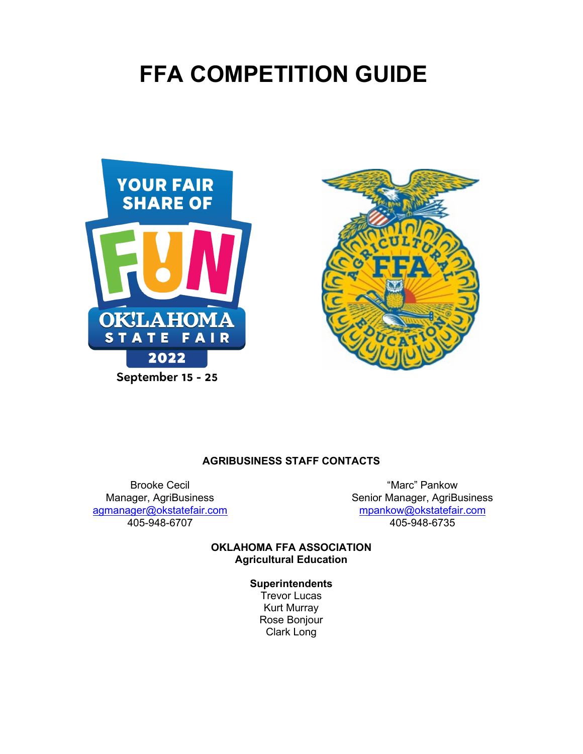# **FFA COMPETITION GUIDE**





#### **AGRIBUSINESS STAFF CONTACTS**

Brooke Cecil "Marc" Pankow

Senior Manager, AgriBusiness [agmanager@okstatefair.com](mailto:agmanager@okstatefair.com) [mpankow@okstatefair.com](mailto:mpankow@okstatefair.com) 405-948-6735

> **OKLAHOMA FFA ASSOCIATION Agricultural Education**

> > **Superintendents** Trevor Lucas Kurt Murray Rose Bonjour Clark Long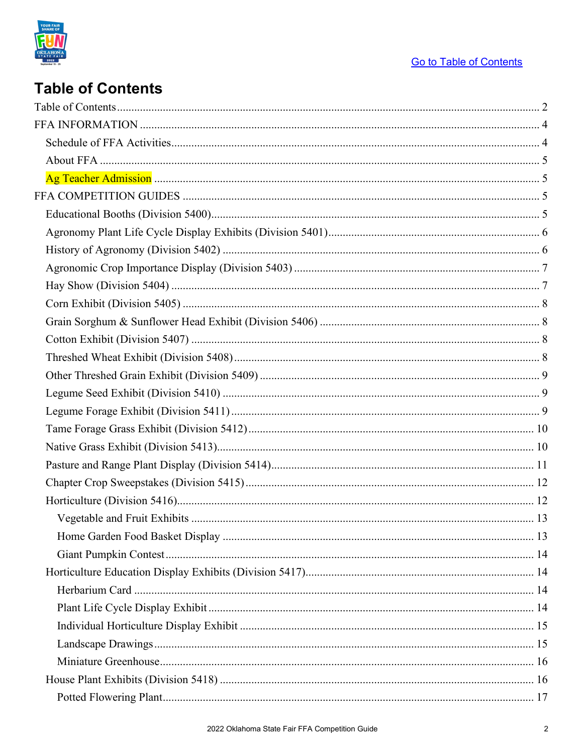

# **Table of Contents**

<span id="page-1-0"></span>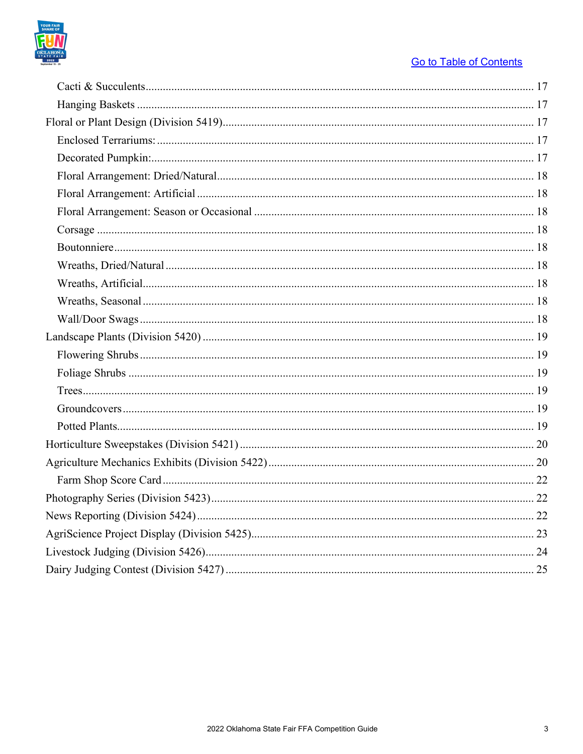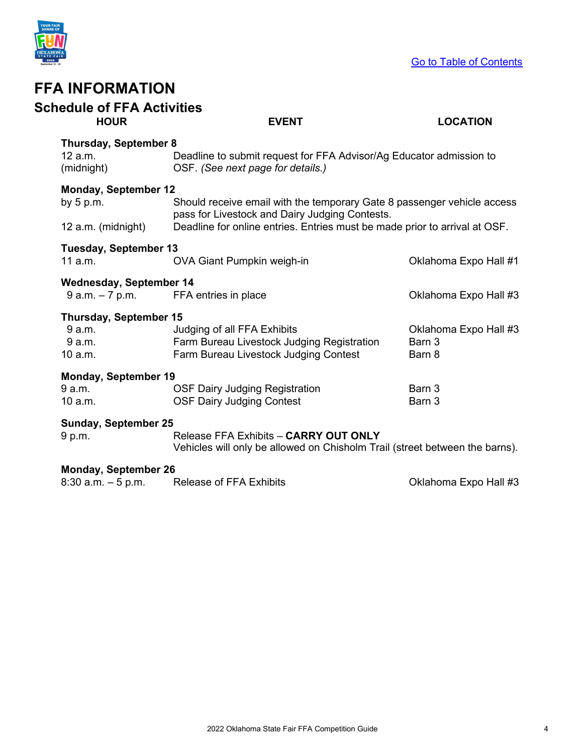

<span id="page-3-1"></span><span id="page-3-0"></span>

| <b>Schedule of FFA Activities</b><br><b>HOUR</b>     | <b>EVENT</b>                                                                                                              | <b>LOCATION</b>       |
|------------------------------------------------------|---------------------------------------------------------------------------------------------------------------------------|-----------------------|
| <b>Thursday, September 8</b>                         |                                                                                                                           |                       |
| 12 a.m.<br>(midnight)                                | Deadline to submit request for FFA Advisor/Ag Educator admission to<br>OSF. (See next page for details.)                  |                       |
| <b>Monday, September 12</b><br>by $5 p.m.$           | Should receive email with the temporary Gate 8 passenger vehicle access<br>pass for Livestock and Dairy Judging Contests. |                       |
| 12 a.m. (midnight)                                   | Deadline for online entries. Entries must be made prior to arrival at OSF.                                                |                       |
| <b>Tuesday, September 13</b><br>$11$ a.m.            | OVA Giant Pumpkin weigh-in                                                                                                | Oklahoma Expo Hall #1 |
| <b>Wednesday, September 14</b><br>$9$ a.m. $-7$ p.m. | FFA entries in place                                                                                                      | Oklahoma Expo Hall #3 |
| Thursday, September 15                               |                                                                                                                           |                       |
| 9 a.m.                                               | Judging of all FFA Exhibits                                                                                               | Oklahoma Expo Hall #3 |
| 9 a.m.                                               | Farm Bureau Livestock Judging Registration                                                                                | Barn 3                |
| 10 a.m.                                              | Farm Bureau Livestock Judging Contest                                                                                     | Barn 8                |
| <b>Monday, September 19</b>                          |                                                                                                                           |                       |
| 9 a.m.                                               | <b>OSF Dairy Judging Registration</b>                                                                                     | Barn 3                |
| 10 a.m.                                              | <b>OSF Dairy Judging Contest</b>                                                                                          | Barn 3                |
| <b>Sunday, September 25</b>                          |                                                                                                                           |                       |
| 9 p.m.                                               | Release FFA Exhibits - CARRY OUT ONLY<br>Vehicles will only be allowed on Chisholm Trail (street between the barns).      |                       |
| <b>Monday, September 26</b>                          |                                                                                                                           |                       |
| $8:30$ a.m. $-5$ p.m.                                | <b>Release of FFA Exhibits</b>                                                                                            | Oklahoma Expo Hall #3 |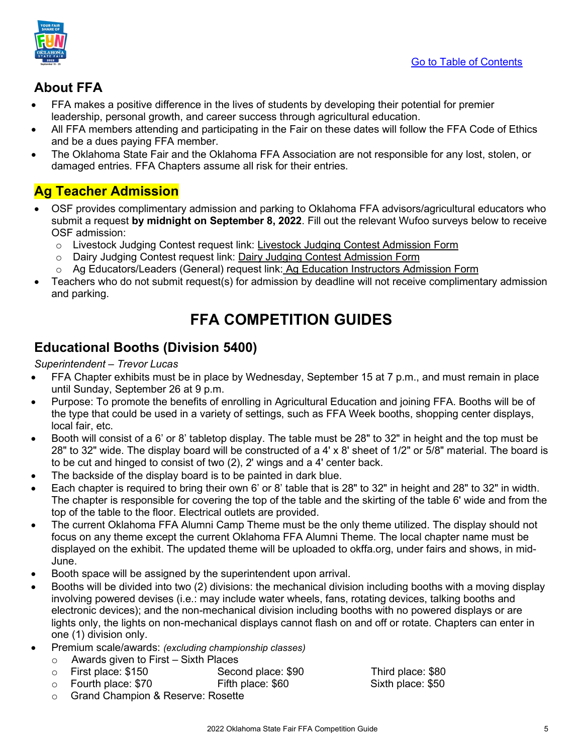

# <span id="page-4-0"></span>**About FFA**

- FFA makes a positive difference in the lives of students by developing their potential for premier leadership, personal growth, and career success through agricultural education.
- All FFA members attending and participating in the Fair on these dates will follow the FFA Code of Ethics and be a dues paying FFA member.
- The Oklahoma State Fair and the Oklahoma FFA Association are not responsible for any lost, stolen, or damaged entries. FFA Chapters assume all risk for their entries.

# <span id="page-4-1"></span>**Ag Teacher Admission**

- OSF provides complimentary admission and parking to Oklahoma FFA advisors/agricultural educators who submit a request **by midnight on September 8, 2022**. Fill out the relevant Wufoo surveys below to receive OSF admission:
	- o Livestock Judging Contest request link: [Livestock Judging Contest Admission Form](https://okstatefair.wufoo.com/forms/zo5o6o904sapfv/)
	- o Dairy Judging Contest request link: [Dairy Judging Contest Admission Form](https://okstatefair.wufoo.com/forms/z1r7gzbj0vvqbnk/)
	- o Ag Educators/Leaders (General) request link: Ag Education Instructors Admission Form
- <span id="page-4-2"></span>• Teachers who do not submit request(s) for admission by deadline will not receive complimentary admission and parking.

# **FFA COMPETITION GUIDES**

# <span id="page-4-3"></span>**Educational Booths (Division 5400)**

### *Superintendent – Trevor Lucas*

- FFA Chapter exhibits must be in place by Wednesday, September 15 at 7 p.m., and must remain in place until Sunday, September 26 at 9 p.m.
- Purpose: To promote the benefits of enrolling in Agricultural Education and joining FFA. Booths will be of the type that could be used in a variety of settings, such as FFA Week booths, shopping center displays, local fair, etc.
- Booth will consist of a 6' or 8' tabletop display. The table must be 28" to 32" in height and the top must be 28" to 32" wide. The display board will be constructed of a 4' x 8' sheet of 1/2" or 5/8" material. The board is to be cut and hinged to consist of two (2), 2' wings and a 4' center back.
- The backside of the display board is to be painted in dark blue.
- Each chapter is required to bring their own 6' or 8' table that is 28" to 32" in height and 28" to 32" in width. The chapter is responsible for covering the top of the table and the skirting of the table 6' wide and from the top of the table to the floor. Electrical outlets are provided.
- The current Oklahoma FFA Alumni Camp Theme must be the only theme utilized. The display should not focus on any theme except the current Oklahoma FFA Alumni Theme. The local chapter name must be displayed on the exhibit. The updated theme will be uploaded to okffa.org, under fairs and shows, in mid-June.
- Booth space will be assigned by the superintendent upon arrival.
- Booths will be divided into two (2) divisions: the mechanical division including booths with a moving display involving powered devises (i.e.: may include water wheels, fans, rotating devices, talking booths and electronic devices); and the non-mechanical division including booths with no powered displays or are lights only, the lights on non-mechanical displays cannot flash on and off or rotate. Chapters can enter in one (1) division only.
- Premium scale/awards: *(excluding championship classes)*
	- o Awards given to First Sixth Places
	-
	- $\circ$  Fourth place: \$70
	- o Grand Champion & Reserve: Rosette

Second place: \$90 Third place: \$80<br>Fifth place: \$60 Sixth place: \$50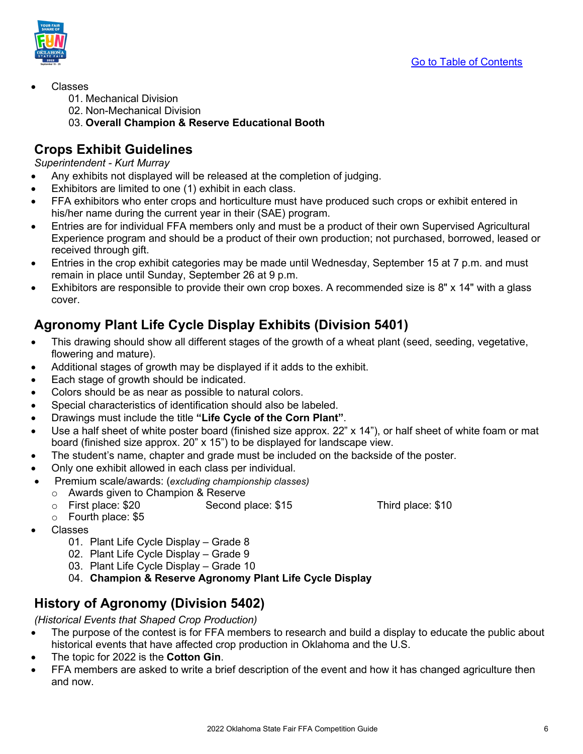

- Classes
	- 01. Mechanical Division
	- 02. Non-Mechanical Division
	- 03. **Overall Champion & Reserve Educational Booth**

# **Crops Exhibit Guidelines**

### *Superintendent - Kurt Murray*

- Any exhibits not displayed will be released at the completion of judging.
- Exhibitors are limited to one (1) exhibit in each class.
- FFA exhibitors who enter crops and horticulture must have produced such crops or exhibit entered in his/her name during the current year in their (SAE) program.
- Entries are for individual FFA members only and must be a product of their own Supervised Agricultural Experience program and should be a product of their own production; not purchased, borrowed, leased or received through gift.
- Entries in the crop exhibit categories may be made until Wednesday, September 15 at 7 p.m. and must remain in place until Sunday, September 26 at 9 p.m.
- Exhibitors are responsible to provide their own crop boxes. A recommended size is 8" x 14" with a glass cover.

# <span id="page-5-0"></span>**Agronomy Plant Life Cycle Display Exhibits (Division 5401)**

- This drawing should show all different stages of the growth of a wheat plant (seed, seeding, vegetative, flowering and mature).
- Additional stages of growth may be displayed if it adds to the exhibit.
- Each stage of growth should be indicated.
- Colors should be as near as possible to natural colors.
- Special characteristics of identification should also be labeled.
- Drawings must include the title **"Life Cycle of the Corn Plant"**.
- Use a half sheet of white poster board (finished size approx. 22" x 14"), or half sheet of white foam or mat board (finished size approx. 20" x 15") to be displayed for landscape view.
- The student's name, chapter and grade must be included on the backside of the poster.
- Only one exhibit allowed in each class per individual.
- Premium scale/awards: (*excluding championship classes)*
	- o Awards given to Champion & Reserve
		- Second place: \$15 Third place: \$10
	- o Fourth place: \$5
- Classes
	- 01. Plant Life Cycle Display Grade 8
	- 02. Plant Life Cycle Display Grade 9
	- 03. Plant Life Cycle Display Grade 10
	- 04. **Champion & Reserve Agronomy Plant Life Cycle Display**

# <span id="page-5-1"></span>**History of Agronomy (Division 5402)**

*(Historical Events that Shaped Crop Production)* 

- The purpose of the contest is for FFA members to research and build a display to educate the public about historical events that have affected crop production in Oklahoma and the U.S.
- The topic for 2022 is the **Cotton Gin**.
- FFA members are asked to write a brief description of the event and how it has changed agriculture then and now.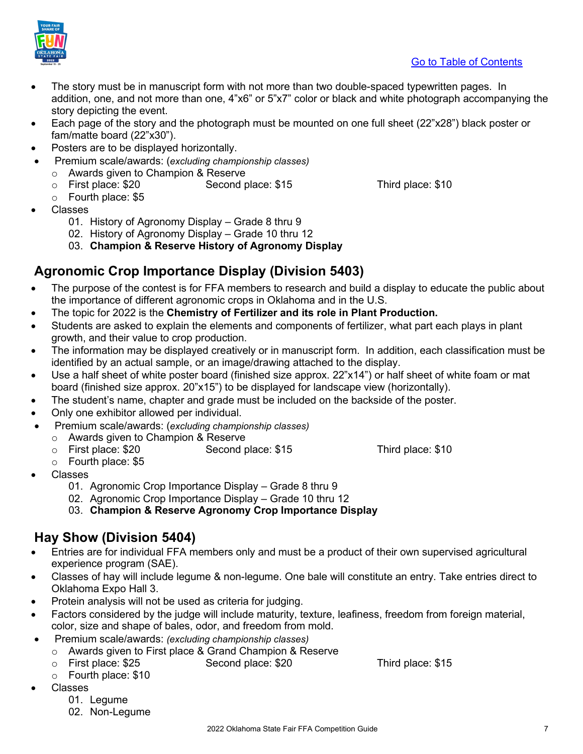

- The story must be in manuscript form with not more than two double-spaced typewritten pages. In addition, one, and not more than one, 4"x6" or 5"x7" color or black and white photograph accompanying the story depicting the event.
- Each page of the story and the photograph must be mounted on one full sheet (22"x28") black poster or fam/matte board (22"x30").
- Posters are to be displayed horizontally.
- Premium scale/awards: (*excluding championship classes)*
	- o Awards given to Champion & Reserve<br>○ First place: \$20 Second p
	- Second place: \$15 Third place: \$10
	- o Fourth place: \$5
- Classes
	- 01. History of Agronomy Display Grade 8 thru 9
	- 02. History of Agronomy Display Grade 10 thru 12
	- 03. **Champion & Reserve History of Agronomy Display**

# <span id="page-6-0"></span>**Agronomic Crop Importance Display (Division 5403)**

- The purpose of the contest is for FFA members to research and build a display to educate the public about the importance of different agronomic crops in Oklahoma and in the U.S.
- The topic for 2022 is the **Chemistry of Fertilizer and its role in Plant Production.**
- Students are asked to explain the elements and components of fertilizer, what part each plays in plant growth, and their value to crop production.
- The information may be displayed creatively or in manuscript form. In addition, each classification must be identified by an actual sample, or an image/drawing attached to the display.
- Use a half sheet of white poster board (finished size approx. 22"x14") or half sheet of white foam or mat board (finished size approx. 20"x15") to be displayed for landscape view (horizontally).
- The student's name, chapter and grade must be included on the backside of the poster.
- Only one exhibitor allowed per individual.
- Premium scale/awards: (*excluding championship classes)*
	-
	- o Awards given to Champion & Reserve Second place: \$15 Third place: \$10
	- o Fourth place: \$5
- Classes
	- 01. Agronomic Crop Importance Display Grade 8 thru 9
	- 02. Agronomic Crop Importance Display Grade 10 thru 12
	- 03. **Champion & Reserve Agronomy Crop Importance Display**

## <span id="page-6-1"></span>**Hay Show (Division 5404)**

- Entries are for individual FFA members only and must be a product of their own supervised agricultural experience program (SAE).
- Classes of hay will include legume & non-legume. One bale will constitute an entry. Take entries direct to Oklahoma Expo Hall 3.
- Protein analysis will not be used as criteria for judging.
- Factors considered by the judge will include maturity, texture, leafiness, freedom from foreign material, color, size and shape of bales, odor, and freedom from mold.
- Premium scale/awards: *(excluding championship classes)*
	- o Awards given to First place & Grand Champion & Reserve<br>○ First place: \$25 Second place: \$20
	- Second place: \$20 Third place: \$15
	- o Fourth place: \$10
- Classes
	- 01. Legume
	- 02. Non-Legume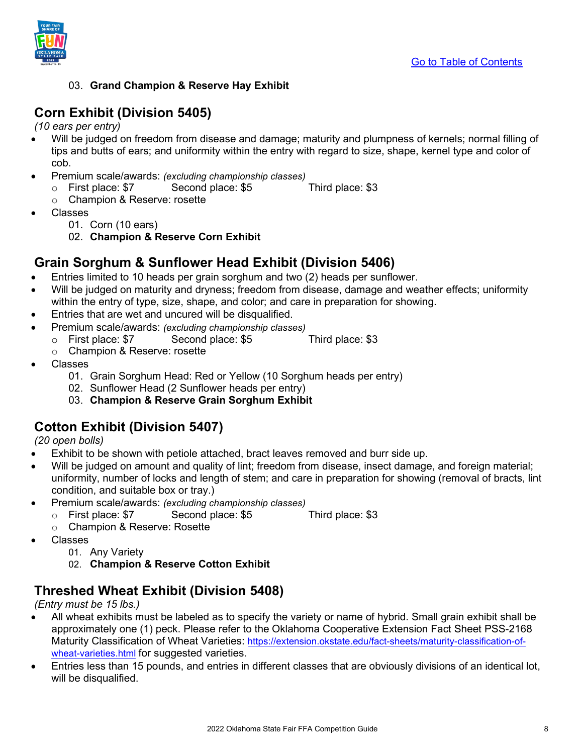

### 03. **Grand Champion & Reserve Hay Exhibit**

## <span id="page-7-0"></span>**Corn Exhibit (Division 5405)**

*(10 ears per entry)*

- Will be judged on freedom from disease and damage; maturity and plumpness of kernels; normal filling of tips and butts of ears; and uniformity within the entry with regard to size, shape, kernel type and color of cob.
- Premium scale/awards: *(excluding championship classes)*
	- o First place: \$7 Second place: \$5 Third place: \$3
	- o Champion & Reserve: rosette
- Classes
	- 01. Corn (10 ears)
	- 02. **Champion & Reserve Corn Exhibit**

## <span id="page-7-1"></span>**Grain Sorghum & Sunflower Head Exhibit (Division 5406)**

- Entries limited to 10 heads per grain sorghum and two (2) heads per sunflower.
- Will be judged on maturity and dryness; freedom from disease, damage and weather effects; uniformity within the entry of type, size, shape, and color; and care in preparation for showing.
- Entries that are wet and uncured will be disqualified.
- Premium scale/awards: *(excluding championship classes)*
	- o First place: \$7 Second place: \$5 Third place: \$3
		- o Champion & Reserve: rosette
- Classes
	- 01. Grain Sorghum Head: Red or Yellow (10 Sorghum heads per entry)
	- 02. Sunflower Head (2 Sunflower heads per entry)
	- 03. **Champion & Reserve Grain Sorghum Exhibit**

## <span id="page-7-2"></span>**Cotton Exhibit (Division 5407)**

*(20 open bolls)*

- Exhibit to be shown with petiole attached, bract leaves removed and burr side up.
- Will be judged on amount and quality of lint; freedom from disease, insect damage, and foreign material; uniformity, number of locks and length of stem; and care in preparation for showing (removal of bracts, lint condition, and suitable box or tray.)
- Premium scale/awards: *(excluding championship classes)*
	- o First place: \$7 Second place: \$5 Third place: \$3
	- o Champion & Reserve: Rosette
- Classes
	- 01. Any Variety
	- 02. **Champion & Reserve Cotton Exhibit**

## <span id="page-7-3"></span>**Threshed Wheat Exhibit (Division 5408)**

*(Entry must be 15 lbs.)*

- All wheat exhibits must be labeled as to specify the variety or name of hybrid. Small grain exhibit shall be approximately one (1) peck. Please refer to the Oklahoma Cooperative Extension Fact Sheet PSS-2168 Maturity Classification of Wheat Varieties: [https://extension.okstate.edu/fact-sheets/maturity-classification-of](https://extension.okstate.edu/fact-sheets/maturity-classification-of-wheat-varieties.html)[wheat-varieties.html](https://extension.okstate.edu/fact-sheets/maturity-classification-of-wheat-varieties.html) for suggested varieties.
- Entries less than 15 pounds, and entries in different classes that are obviously divisions of an identical lot, will be disqualified.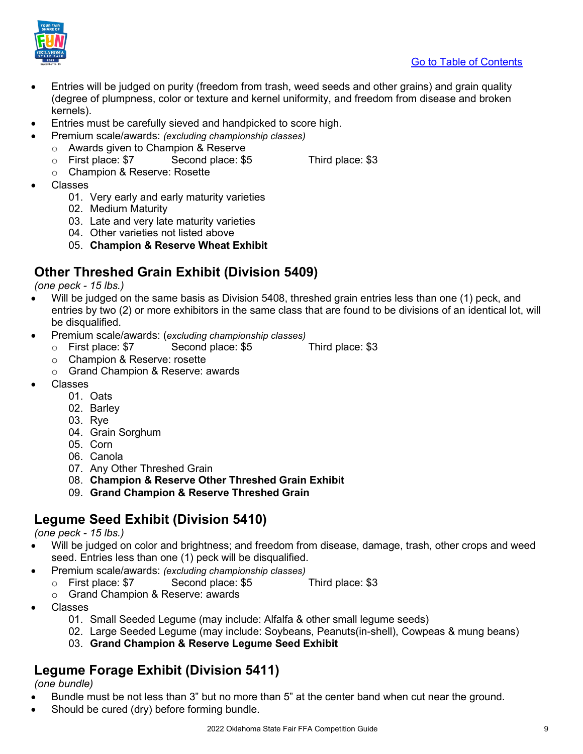

- Entries will be judged on purity (freedom from trash, weed seeds and other grains) and grain quality (degree of plumpness, color or texture and kernel uniformity, and freedom from disease and broken kernels).
- Entries must be carefully sieved and handpicked to score high.
- Premium scale/awards: *(excluding championship classes)*
	- o Awards given to Champion & Reserve
		- Second place: \$5 Third place: \$3
- 
- o Champion & Reserve: Rosette
- Classes
	- 01. Very early and early maturity varieties
	- 02. Medium Maturity
	- 03. Late and very late maturity varieties
	- 04. Other varieties not listed above
	- 05. **Champion & Reserve Wheat Exhibit**

# <span id="page-8-0"></span>**Other Threshed Grain Exhibit (Division 5409)**

*(one peck - 15 lbs.)*

- Will be judged on the same basis as Division 5408, threshed grain entries less than one (1) peck, and entries by two (2) or more exhibitors in the same class that are found to be divisions of an identical lot, will be disqualified.
- Premium scale/awards: (*excluding championship classes)*
	- o First place: \$7 Second place: \$5 Third place: \$3
	- o Champion & Reserve: rosette
	- o Grand Champion & Reserve: awards
- Classes
	- 01. Oats
	- 02. Barley
	- 03. Rye
	- 04. Grain Sorghum
	- 05. Corn
	- 06. Canola
	- 07. Any Other Threshed Grain
	- 08. **Champion & Reserve Other Threshed Grain Exhibit**
	- 09. **Grand Champion & Reserve Threshed Grain**

# <span id="page-8-1"></span>**Legume Seed Exhibit (Division 5410)**

*(one peck - 15 lbs.)*

- Will be judged on color and brightness; and freedom from disease, damage, trash, other crops and weed seed. Entries less than one (1) peck will be disqualified.
- Premium scale/awards: *(excluding championship classes)*
	- o First place: \$7 Second place: \$5 Third place: \$3
	- o Grand Champion & Reserve: awards
- Classes
	- 01. Small Seeded Legume (may include: Alfalfa & other small legume seeds)
	- 02. Large Seeded Legume (may include: Soybeans, Peanuts(in-shell), Cowpeas & mung beans)
	- 03. **Grand Champion & Reserve Legume Seed Exhibit**

# <span id="page-8-2"></span>**Legume Forage Exhibit (Division 5411)**

*(one bundle)*

- Bundle must be not less than 3" but no more than 5" at the center band when cut near the ground.
- Should be cured (dry) before forming bundle.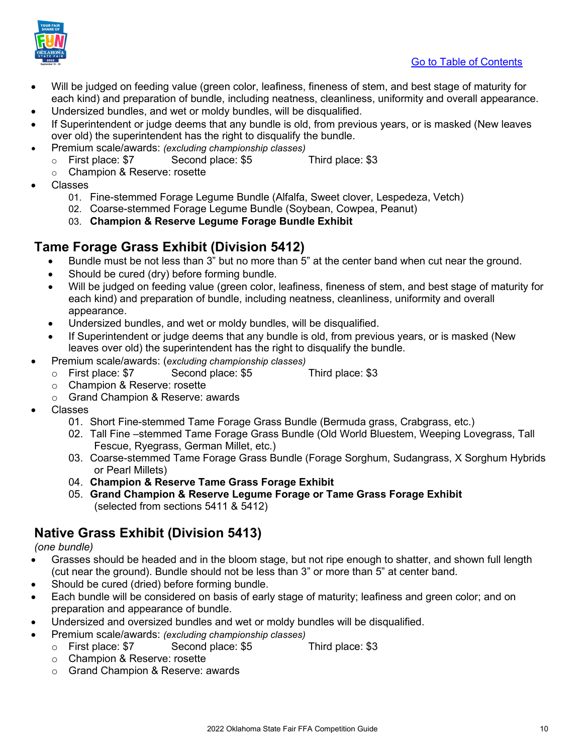

- Will be judged on feeding value (green color, leafiness, fineness of stem, and best stage of maturity for each kind) and preparation of bundle, including neatness, cleanliness, uniformity and overall appearance.
- Undersized bundles, and wet or moldy bundles, will be disqualified.
- If Superintendent or judge deems that any bundle is old, from previous years, or is masked (New leaves over old) the superintendent has the right to disqualify the bundle.
- Premium scale/awards: *(excluding championship classes)*
	- o First place: \$7 Second place: \$5 Third place: \$3
	- o Champion & Reserve: rosette
- Classes
	- 01. Fine-stemmed Forage Legume Bundle (Alfalfa, Sweet clover, Lespedeza, Vetch)
	- 02. Coarse-stemmed Forage Legume Bundle (Soybean, Cowpea, Peanut)
	- 03. **Champion & Reserve Legume Forage Bundle Exhibit**

## <span id="page-9-0"></span>**Tame Forage Grass Exhibit (Division 5412)**

- Bundle must be not less than 3" but no more than 5" at the center band when cut near the ground.
- Should be cured (dry) before forming bundle.
- Will be judged on feeding value (green color, leafiness, fineness of stem, and best stage of maturity for each kind) and preparation of bundle, including neatness, cleanliness, uniformity and overall appearance.
- Undersized bundles, and wet or moldy bundles, will be disqualified.
- If Superintendent or judge deems that any bundle is old, from previous years, or is masked (New leaves over old) the superintendent has the right to disqualify the bundle.
- Premium scale/awards: (*excluding championship classes)*
	- o First place: \$7 Second place: \$5 Third place: \$3
	- o Champion & Reserve: rosette
	- o Grand Champion & Reserve: awards
- Classes
	- 01. Short Fine-stemmed Tame Forage Grass Bundle (Bermuda grass, Crabgrass, etc.)
	- 02. Tall Fine –stemmed Tame Forage Grass Bundle (Old World Bluestem, Weeping Lovegrass, Tall Fescue, Ryegrass, German Millet, etc.)
	- 03. Coarse-stemmed Tame Forage Grass Bundle (Forage Sorghum, Sudangrass, X Sorghum Hybrids or Pearl Millets)
	- 04. **Champion & Reserve Tame Grass Forage Exhibit**
	- 05. **Grand Champion & Reserve Legume Forage or Tame Grass Forage Exhibit** (selected from sections 5411 & 5412)

## <span id="page-9-1"></span>**Native Grass Exhibit (Division 5413)**

*(one bundle)*

- Grasses should be headed and in the bloom stage, but not ripe enough to shatter, and shown full length (cut near the ground). Bundle should not be less than 3" or more than 5" at center band.
- Should be cured (dried) before forming bundle.
- Each bundle will be considered on basis of early stage of maturity; leafiness and green color; and on preparation and appearance of bundle.
- Undersized and oversized bundles and wet or moldy bundles will be disqualified.
- Premium scale/awards: *(excluding championship classes)*
	- o First place: \$7 Second place: \$5 Third place: \$3
		- o Champion & Reserve: rosette
		- o Grand Champion & Reserve: awards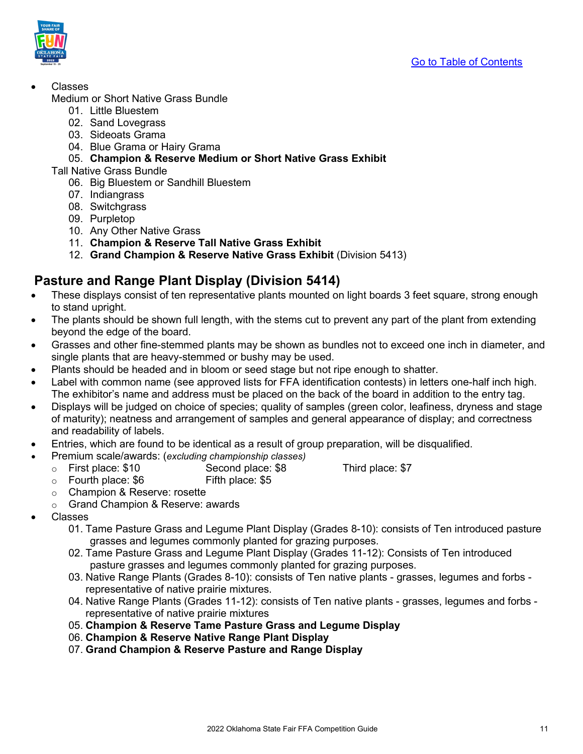

• Classes

Medium or Short Native Grass Bundle

- 01. Little Bluestem
- 02. Sand Lovegrass
- 03. Sideoats Grama
- 04. Blue Grama or Hairy Grama
- 05. **Champion & Reserve Medium or Short Native Grass Exhibit**
- Tall Native Grass Bundle
	- 06. Big Bluestem or Sandhill Bluestem
	- 07. Indiangrass
	- 08. Switchgrass
	- 09. Purpletop
	- 10. Any Other Native Grass
	- 11. **Champion & Reserve Tall Native Grass Exhibit**
	- 12. **Grand Champion & Reserve Native Grass Exhibit** (Division 5413)

### <span id="page-10-0"></span>**Pasture and Range Plant Display (Division 5414)**

- These displays consist of ten representative plants mounted on light boards 3 feet square, strong enough to stand upright.
- The plants should be shown full length, with the stems cut to prevent any part of the plant from extending beyond the edge of the board.
- Grasses and other fine-stemmed plants may be shown as bundles not to exceed one inch in diameter, and single plants that are heavy-stemmed or bushy may be used.
- Plants should be headed and in bloom or seed stage but not ripe enough to shatter.
- Label with common name (see approved lists for FFA identification contests) in letters one-half inch high. The exhibitor's name and address must be placed on the back of the board in addition to the entry tag.
- Displays will be judged on choice of species; quality of samples (green color, leafiness, dryness and stage of maturity); neatness and arrangement of samples and general appearance of display; and correctness and readability of labels.
- Entries, which are found to be identical as a result of group preparation, will be disqualified.
	- Premium scale/awards: (*excluding championship classes)*
		- o First place: \$10 Second place: \$8 Third place: \$7<br>○ Fourth place: \$6 Fifth place: \$5
		- $\circ$  Fourth place: \$6
		- o Champion & Reserve: rosette
		- o Grand Champion & Reserve: awards
- <span id="page-10-1"></span>• Classes
	- 01. Tame Pasture Grass and Legume Plant Display (Grades 8-10): consists of Ten introduced pasture grasses and legumes commonly planted for grazing purposes.
	- 02. Tame Pasture Grass and Legume Plant Display (Grades 11-12): Consists of Ten introduced pasture grasses and legumes commonly planted for grazing purposes.
	- 03. Native Range Plants (Grades 8-10): consists of Ten native plants grasses, legumes and forbs representative of native prairie mixtures.
	- 04. Native Range Plants (Grades 11-12): consists of Ten native plants grasses, legumes and forbs representative of native prairie mixtures
	- 05. **Champion & Reserve Tame Pasture Grass and Legume Display**
	- 06. **Champion & Reserve Native Range Plant Display**
	- 07. **Grand Champion & Reserve Pasture and Range Display**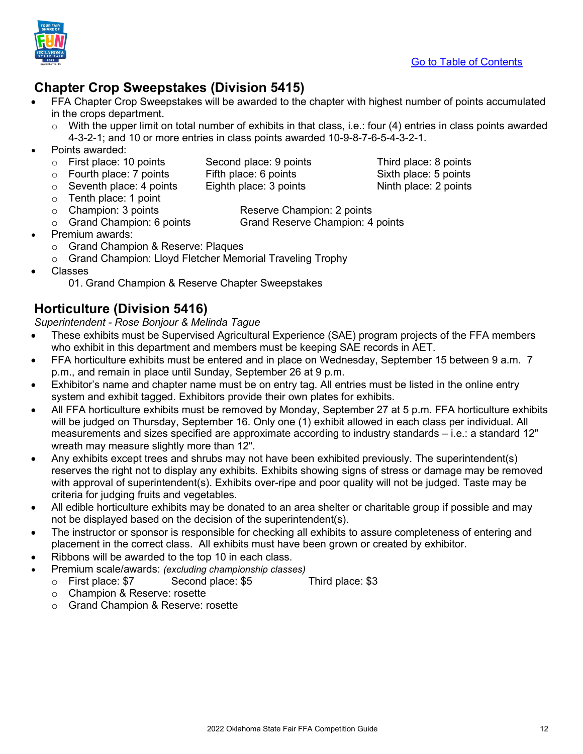

# **Chapter Crop Sweepstakes (Division 5415)**

- FFA Chapter Crop Sweepstakes will be awarded to the chapter with highest number of points accumulated in the crops department.
	- $\circ$  With the upper limit on total number of exhibits in that class, i.e.: four (4) entries in class points awarded 4-3-2-1; and 10 or more entries in class points awarded 10-9-8-7-6-5-4-3-2-1.
- Points awarded:
- 
- -
- $\circ$  Seventh place: 4 points
- o Tenth place: 1 point<br>○ Champion: 3 points
- 

- o First place: 10 points Second place: 9 points Third place: 8 points<br>
⊙ Fourth place: 7 points Fifth place: 6 points Sixth place: 5 points o Fourth place: 7 points Fifth place: 6 points Sixth place: 5 points<br>
⊙ Seventh place: 4 points Eighth place: 3 points Ninth place: 2 points
- o Champion: 3 points Reserve Champion: 2 points Grand Reserve Champion: 4 points
- - Premium awards: o Grand Champion & Reserve: Plaques
	- o Grand Champion: Lloyd Fletcher Memorial Traveling Trophy
- Classes
	- 01. Grand Champion & Reserve Chapter Sweepstakes

# <span id="page-11-0"></span>**Horticulture (Division 5416)**

*Superintendent - Rose Bonjour & Melinda Tague*

- These exhibits must be Supervised Agricultural Experience (SAE) program projects of the FFA members who exhibit in this department and members must be keeping SAE records in AET.
- FFA horticulture exhibits must be entered and in place on Wednesday, September 15 between 9 a.m. 7 p.m., and remain in place until Sunday, September 26 at 9 p.m.
- Exhibitor's name and chapter name must be on entry tag. All entries must be listed in the online entry system and exhibit tagged. Exhibitors provide their own plates for exhibits.
- All FFA horticulture exhibits must be removed by Monday, September 27 at 5 p.m. FFA horticulture exhibits will be judged on Thursday, September 16. Only one (1) exhibit allowed in each class per individual. All measurements and sizes specified are approximate according to industry standards – i.e.: a standard 12" wreath may measure slightly more than 12".
- Any exhibits except trees and shrubs may not have been exhibited previously. The superintendent(s) reserves the right not to display any exhibits. Exhibits showing signs of stress or damage may be removed with approval of superintendent(s). Exhibits over-ripe and poor quality will not be judged. Taste may be criteria for judging fruits and vegetables.
- All edible horticulture exhibits may be donated to an area shelter or charitable group if possible and may not be displayed based on the decision of the superintendent(s).
- The instructor or sponsor is responsible for checking all exhibits to assure completeness of entering and placement in the correct class. All exhibits must have been grown or created by exhibitor.
- Ribbons will be awarded to the top 10 in each class.
- Premium scale/awards: *(excluding championship classes)*
	- o First place: \$7 Second place: \$5 Third place: \$3
		- o Champion & Reserve: rosette
		- o Grand Champion & Reserve: rosette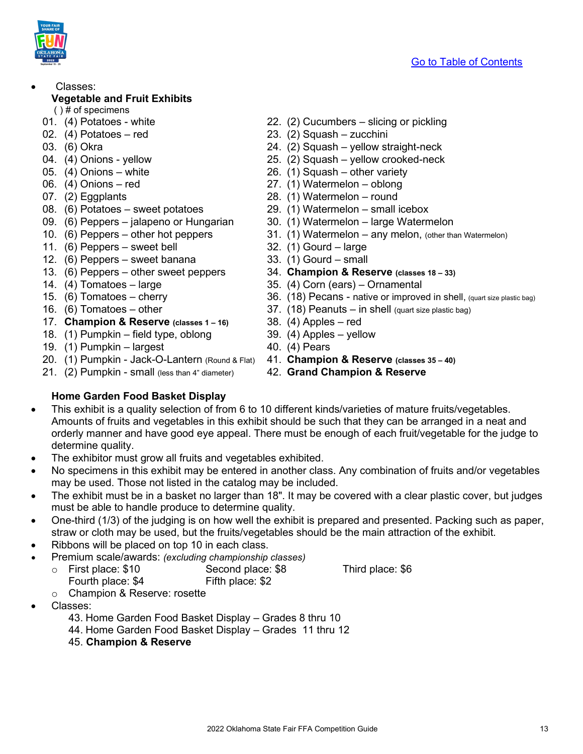- <span id="page-12-0"></span>• Classes: **Vegetable and Fruit Exhibits** 
	- ( ) # of specimens
- 
- 
- 
- 
- 
- 
- 
- 
- 09. (6) Peppers jalapeno or Hungarian 30. (1) Watermelon large Watermelon
- 
- 11. (6) Peppers sweet bell 32. (1) Gourd large
- 12. (6) Peppers sweet banana 33. (1) Gourd small
- 
- 
- 
- 
- 17. **Champion & Reserve (classes 1 – 16)** 38. (4) Apples red
- 18. (1) Pumpkin field type, oblong 39. (4) Apples yellow
- 19. (1) Pumpkin largest 40. (4) Pears
- 20. (1) Pumpkin Jack-O-Lantern (Round & Flat) 41. **Champion & Reserve (classes 35 – 40)**
- 21. (2) Pumpkin small (less than 4" diameter) 42. **Grand Champion & Reserve**
- 01. (4) Potatoes white 22. (2) Cucumbers slicing or pickling
- 02. (4) Potatoes red 23. (2) Squash zucchini
- 03. (6) Okra 24. (2) Squash yellow straight-neck
- 04. (4) Onions yellow 25. (2) Squash yellow crooked-neck
- 05. (4) Onions white 26. (1) Squash other variety
- 06. (4) Onions red 27. (1) Watermelon oblong
- 07. (2) Eggplants 28. (1) Watermelon round
- 08. (6) Potatoes sweet potatoes 29. (1) Watermelon small icebox
	-
- 10. (6) Peppers other hot peppers 31. (1) Watermelon any melon, (other than Watermelon)
	-
	-
- 13. (6) Peppers other sweet peppers 34. **Champion & Reserve (classes 18 – 33)**
- 14. (4) Tomatoes large 35. (4) Corn (ears) Ornamental
- 15. (6) Tomatoes cherry 15. (36. (18) Pecans native or improved in shell, (quart size plastic bag)
- 16. (6) Tomatoes other 11. (18) Peanuts in shell (quart size plastic bag)
	-
	-
	-
	-
	-

### <span id="page-12-1"></span>**Home Garden Food Basket Display**

- This exhibit is a quality selection of from 6 to 10 different kinds/varieties of mature fruits/vegetables. Amounts of fruits and vegetables in this exhibit should be such that they can be arranged in a neat and orderly manner and have good eye appeal. There must be enough of each fruit/vegetable for the judge to determine quality.
- The exhibitor must grow all fruits and vegetables exhibited.
- No specimens in this exhibit may be entered in another class. Any combination of fruits and/or vegetables may be used. Those not listed in the catalog may be included.
- The exhibit must be in a basket no larger than 18". It may be covered with a clear plastic cover, but judges must be able to handle produce to determine quality.
- One-third (1/3) of the judging is on how well the exhibit is prepared and presented. Packing such as paper, straw or cloth may be used, but the fruits/vegetables should be the main attraction of the exhibit.
- Ribbons will be placed on top 10 in each class.
- Premium scale/awards: *(excluding championship classes)*
	- o First place: \$10 Second place: \$8 Third place: \$6<br>Fourth place: \$4 Fifth place: \$2
		-
		- Fourth place: \$4 o Champion & Reserve: rosette
- Classes:
	- 43. Home Garden Food Basket Display Grades 8 thru 10
	- 44. Home Garden Food Basket Display Grades 11 thru 12
	- 45. **Champion & Reserve**



- 
-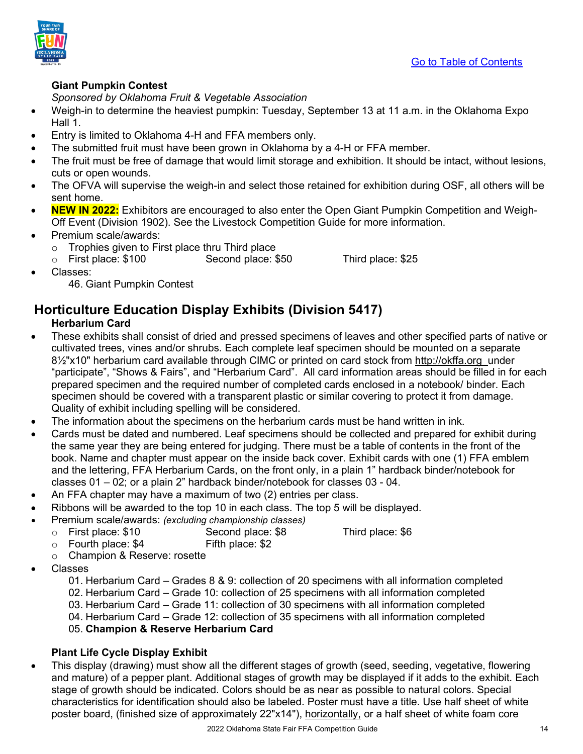

### <span id="page-13-0"></span>**Giant Pumpkin Contest**

*Sponsored by Oklahoma Fruit & Vegetable Association*

- Weigh-in to determine the heaviest pumpkin: Tuesday, September 13 at 11 a.m. in the Oklahoma Expo Hall 1.
- Entry is limited to Oklahoma 4-H and FFA members only.
- The submitted fruit must have been grown in Oklahoma by a 4-H or FFA member.
- The fruit must be free of damage that would limit storage and exhibition. It should be intact, without lesions, cuts or open wounds.
- The OFVA will supervise the weigh-in and select those retained for exhibition during OSF, all others will be sent home.
- **NEW IN 2022:** Exhibitors are encouraged to also enter the Open Giant Pumpkin Competition and Weigh-Off Event (Division 1902). See the Livestock Competition Guide for more information.
- Premium scale/awards:
	- o Trophies given to First place thru Third place
	- o First place: \$100 Second place: \$50 Third place: \$25

• Classes:

46. Giant Pumpkin Contest

# <span id="page-13-1"></span>**Horticulture Education Display Exhibits (Division 5417)**

### <span id="page-13-2"></span>**Herbarium Card**

- These exhibits shall consist of dried and pressed specimens of leaves and other specified parts of native or cultivated trees, vines and/or shrubs. Each complete leaf specimen should be mounted on a separate 8½"x10" herbarium card available through CIMC or printed on card stock from [http://okffa.org](http://okffa.org/docs/67006_Herbarium%20Card.pdf) under "participate", "Shows & Fairs", and "Herbarium Card". All card information areas should be filled in for each prepared specimen and the required number of completed cards enclosed in a notebook/ binder. Each specimen should be covered with a transparent plastic or similar covering to protect it from damage. Quality of exhibit including spelling will be considered.
- The information about the specimens on the herbarium cards must be hand written in ink.
- Cards must be dated and numbered. Leaf specimens should be collected and prepared for exhibit during the same year they are being entered for judging. There must be a table of contents in the front of the book. Name and chapter must appear on the inside back cover. Exhibit cards with one (1) FFA emblem and the lettering, FFA Herbarium Cards, on the front only, in a plain 1" hardback binder/notebook for classes 01 – 02; or a plain 2" hardback binder/notebook for classes 03 - 04.
- An FFA chapter may have a maximum of two (2) entries per class.
- Ribbons will be awarded to the top 10 in each class. The top 5 will be displayed.
- Premium scale/awards: *(excluding championship classes)*
	- o First place: \$10 Second place: \$8 Third place: \$6<br>
	⊙ Fourth place: \$4 Fifth place: \$2
	- $\circ$  Fourth place: \$4 o Champion & Reserve: rosette
- Classes
	- 01. Herbarium Card Grades 8 & 9: collection of 20 specimens with all information completed
	- 02. Herbarium Card Grade 10: collection of 25 specimens with all information completed
	- 03. Herbarium Card Grade 11: collection of 30 specimens with all information completed
	- 04. Herbarium Card Grade 12: collection of 35 specimens with all information completed
	- 05. **Champion & Reserve Herbarium Card**

### **Plant Life Cycle Display Exhibit**

<span id="page-13-3"></span>• This display (drawing) must show all the different stages of growth (seed, seeding, vegetative, flowering and mature) of a pepper plant. Additional stages of growth may be displayed if it adds to the exhibit. Each stage of growth should be indicated. Colors should be as near as possible to natural colors. Special characteristics for identification should also be labeled. Poster must have a title. Use half sheet of white poster board, (finished size of approximately 22"x14"), horizontally, or a half sheet of white foam core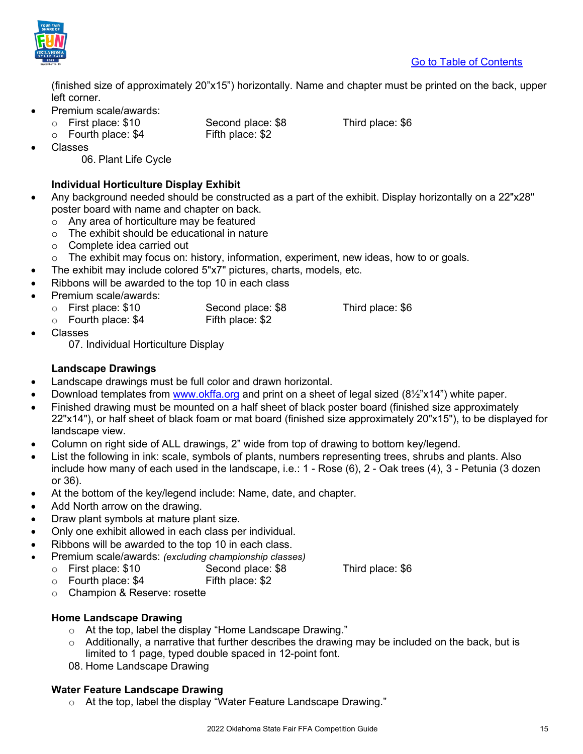

(finished size of approximately 20"x15") horizontally. Name and chapter must be printed on the back, upper left corner.

- Premium scale/awards:
	- o First place: \$10 Second place: \$8 Third place: \$6<br>○ Fourth place: \$4 Fifth place: \$2
	- $\circ$  Fourth place: \$4
- 

**Classes** 

06. Plant Life Cycle

### **Individual Horticulture Display Exhibit**

- <span id="page-14-0"></span>• Any background needed should be constructed as a part of the exhibit. Display horizontally on a 22"x28" poster board with name and chapter on back.
	- o Any area of horticulture may be featured
	- o The exhibit should be educational in nature
	- o Complete idea carried out
	- $\circ$  The exhibit may focus on: history, information, experiment, new ideas, how to or goals.
- The exhibit may include colored 5"x7" pictures, charts, models, etc.
- Ribbons will be awarded to the top 10 in each class
- Premium scale/awards:
	- - o First place: \$10 Second place: \$8 Third place: \$6<br>○ Fourth place: \$4 Fifth place: \$2  $\circ$  Fourth place: \$4
- Classes

07. Individual Horticulture Display

### **Landscape Drawings**

- <span id="page-14-1"></span>• Landscape drawings must be full color and drawn horizontal.
- Download templates from [www.okffa.org](http://www.okffa.org/) and print on a sheet of legal sized (8½"x14") white paper.
- Finished drawing must be mounted on a half sheet of black poster board (finished size approximately 22"x14"), or half sheet of black foam or mat board (finished size approximately 20"x15"), to be displayed for landscape view.
- Column on right side of ALL drawings, 2" wide from top of drawing to bottom key/legend.
- List the following in ink: scale, symbols of plants, numbers representing trees, shrubs and plants. Also include how many of each used in the landscape, i.e.: 1 - Rose (6), 2 - Oak trees (4), 3 - Petunia (3 dozen or 36).
- At the bottom of the key/legend include: Name, date, and chapter.
- Add North arrow on the drawing.
- Draw plant symbols at mature plant size.
- Only one exhibit allowed in each class per individual.
- Ribbons will be awarded to the top 10 in each class.
- Premium scale/awards: *(excluding championship classes)*
	- o First place: \$10 Second place: \$8 Third place: \$6<br>○ Fourth place: \$4 Fifth place: \$2

- $\circ$  Fourth place: \$4
- o Champion & Reserve: rosette

### **Home Landscape Drawing**

- o At the top, label the display "Home Landscape Drawing."
- $\circ$  Additionally, a narrative that further describes the drawing may be included on the back, but is limited to 1 page, typed double spaced in 12-point font.
- 08. Home Landscape Drawing

### **Water Feature Landscape Drawing**

o At the top, label the display "Water Feature Landscape Drawing."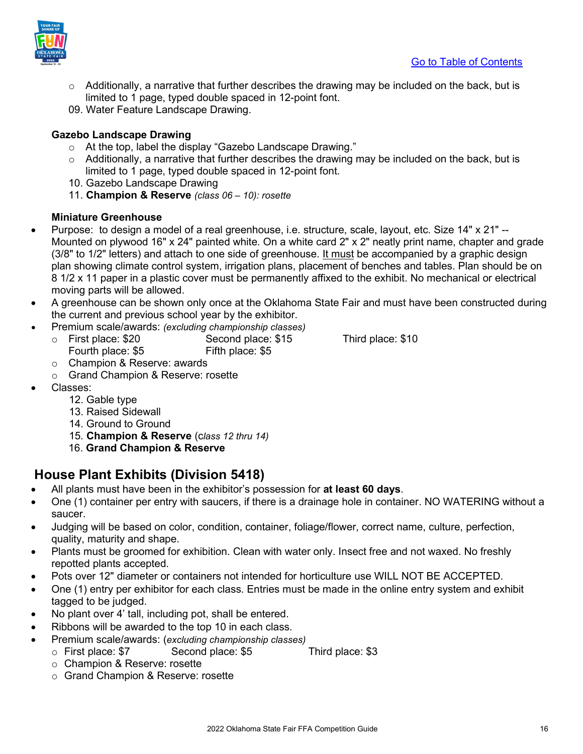

- $\circ$  Additionally, a narrative that further describes the drawing may be included on the back, but is limited to 1 page, typed double spaced in 12-point font.
- 09. Water Feature Landscape Drawing.

### **Gazebo Landscape Drawing**

- o At the top, label the display "Gazebo Landscape Drawing."
- $\circ$  Additionally, a narrative that further describes the drawing may be included on the back, but is limited to 1 page, typed double spaced in 12-point font.
- 10. Gazebo Landscape Drawing
- 11. **Champion & Reserve** *(class 06 10): rosette*

#### **Miniature Greenhouse**

- <span id="page-15-0"></span>• Purpose: to design a model of a real greenhouse, i.e. structure, scale, layout, etc. Size 14" x 21" -- Mounted on plywood 16" x 24" painted white. On a white card 2" x 2" neatly print name, chapter and grade (3/8" to 1/2" letters) and attach to one side of greenhouse. It must be accompanied by a graphic design plan showing climate control system, irrigation plans, placement of benches and tables. Plan should be on 8 1/2 x 11 paper in a plastic cover must be permanently affixed to the exhibit. No mechanical or electrical moving parts will be allowed.
- A greenhouse can be shown only once at the Oklahoma State Fair and must have been constructed during the current and previous school year by the exhibitor.
- Premium scale/awards: *(excluding championship classes)*
	- o First place: \$20 Second place: \$15 Third place: \$10<br>Fourth place: \$5 Fifth place: \$5 Fourth place: \$5

- o Champion & Reserve: awards
- o Grand Champion & Reserve: rosette
- Classes:
	- 12. Gable type
	- 13. Raised Sidewall
	- 14. Ground to Ground
	- 15. **Champion & Reserve** (c*lass 12 thru 14)*
	- 16. **Grand Champion & Reserve**

## <span id="page-15-1"></span>**House Plant Exhibits (Division 5418)**

- All plants must have been in the exhibitor's possession for **at least 60 days**.
- One (1) container per entry with saucers, if there is a drainage hole in container. NO WATERING without a saucer.
- Judging will be based on color, condition, container, foliage/flower, correct name, culture, perfection, quality, maturity and shape.
- Plants must be groomed for exhibition. Clean with water only. Insect free and not waxed. No freshly repotted plants accepted.
- Pots over 12" diameter or containers not intended for horticulture use WILL NOT BE ACCEPTED.
- One (1) entry per exhibitor for each class. Entries must be made in the online entry system and exhibit tagged to be judged.
- No plant over 4' tall, including pot, shall be entered.
- Ribbons will be awarded to the top 10 in each class.
- Premium scale/awards: (*excluding championship classes)*
	- o First place: \$7 Second place: \$5 Third place: \$3
	- o Champion & Reserve: rosette
	- o Grand Champion & Reserve: rosette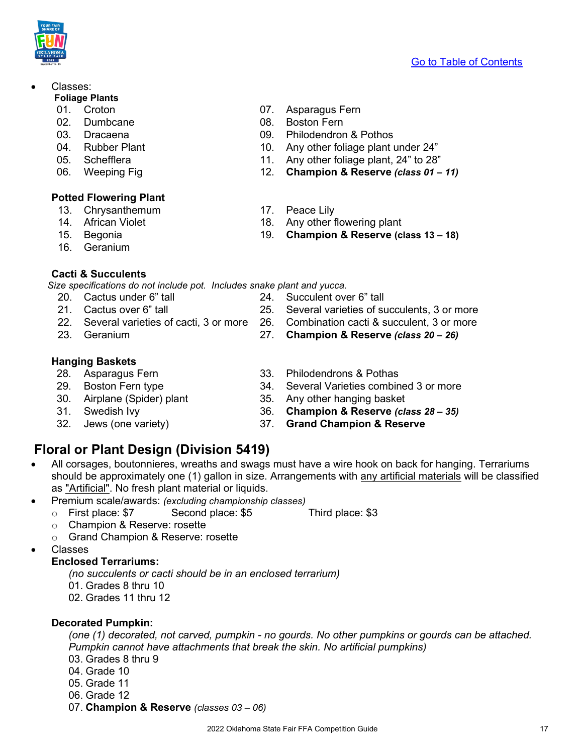2022 Oklahoma State Fair FFA Competition Guide 17

### • Classes:

#### **Foliage Plants**

- 
- 
- 
- 
- 
- 

### <span id="page-16-0"></span>**Potted Flowering Plant**

- 13. Chrysanthemum 17. Peace Lily
- 
- 
- 16. Geranium

### <span id="page-16-1"></span>**Cacti & Succulents**

 *Size specifications do not include pot. Includes snake plant and yucca.*

- 20. Cactus under 6" tall 24. Succulent over 6" tall
- 21. Cactus over 6" tall 25. Several varieties of succulents, 3 or more
- 22. Several varieties of cacti, 3 or more 26. Combination cacti & succulent, 3 or more
- 23. Geranium 27. **Champion & Reserve** *(class 20 – 26)*

# <span id="page-16-2"></span>**Hanging Baskets**

- 
- 
- 
- 
- 
- 01. Croton 07. Asparagus Fern
- 02. Dumbcane 08. Boston Fern
- 03. Dracaena 09. Philodendron & Pothos
- 04. Rubber Plant 10. Any other foliage plant under 24"
- 05. Schefflera 11. Any other foliage plant, 24" to 28"
- 06. Weeping Fig 12. **Champion & Reserve** *(class 01 – 11)*
	-
- 14. African Violet 18. Any other flowering plant
- 15. Begonia 19. **Champion & Reserve (class 13 – 18)**

- 33. Philodendrons & Pothas
- 29. Boston Fern type 34. Several Varieties combined 3 or more
- 30. Airplane (Spider) plant 35. Any other hanging basket
- 31. Swedish Ivy 36. **Champion & Reserve** *(class 28 – 35)*
- 32. Jews (one variety) 37. **Grand Champion & Reserve**

# <span id="page-16-3"></span>**Floral or Plant Design (Division 5419)**

- All corsages, boutonnieres, wreaths and swags must have a wire hook on back for hanging. Terrariums should be approximately one (1) gallon in size. Arrangements with any artificial materials will be classified as "Artificial". No fresh plant material or liquids.
- Premium scale/awards: *(excluding championship classes)*
	- o First place: \$7 Second place: \$5 Third place: \$3
		- o Champion & Reserve: rosette
		- o Grand Champion & Reserve: rosette
- <span id="page-16-4"></span>• Classes

### **Enclosed Terrariums:**

*(no succulents or cacti should be in an enclosed terrarium)*

- 01. Grades 8 thru 10
- 02. Grades 11 thru 12

### <span id="page-16-5"></span>**Decorated Pumpkin:**

*(one (1) decorated, not carved, pumpkin - no gourds. No other pumpkins or gourds can be attached. Pumpkin cannot have attachments that break the skin. No artificial pumpkins)*  03. Grades 8 thru 9

- 04. Grade 10
- 05. Grade 11
- 
- 06. Grade 12
- 07. **Champion & Reserve** *(classes 03 06)*

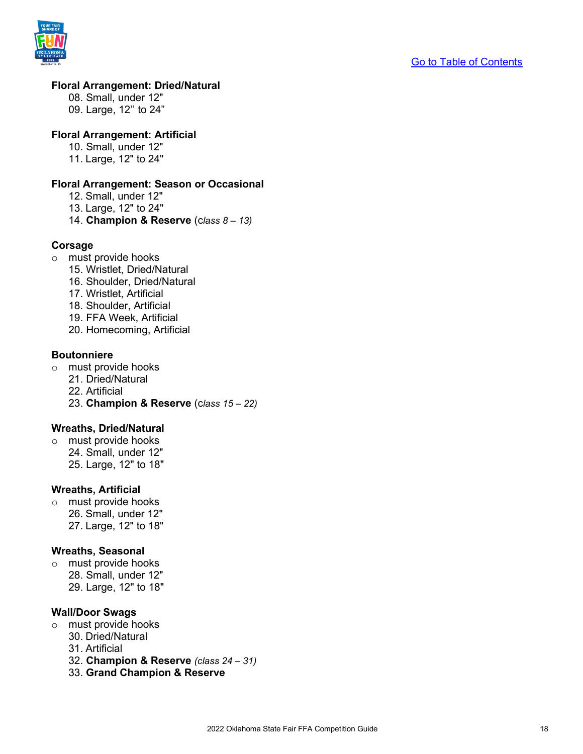

#### <span id="page-17-0"></span>**Floral Arrangement: Dried/Natural**

08. Small, under 12" 09. Large, 12'' to 24"

#### <span id="page-17-1"></span>**Floral Arrangement: Artificial**

- 10. Small, under 12"
- 11. Large, 12" to 24"

#### <span id="page-17-2"></span>**Floral Arrangement: Season or Occasional**

- 12. Small, under 12"
- 13. Large, 12" to 24"
- 14. **Champion & Reserve** (c*lass 8 – 13)*

#### <span id="page-17-3"></span>**Corsage**

- o must provide hooks
	- 15. Wristlet, Dried/Natural
	- 16. Shoulder, Dried/Natural
	- 17. Wristlet, Artificial
	- 18. Shoulder, Artificial
	- 19. FFA Week, Artificial
	- 20. Homecoming, Artificial

#### <span id="page-17-4"></span>**Boutonniere**

- o must provide hooks
	- 21. Dried/Natural
	- 22. Artificial
	- 23. **Champion & Reserve** (c*lass 15 – 22)*

#### <span id="page-17-5"></span>**Wreaths, Dried/Natural**

o must provide hooks 24. Small, under 12" 25. Large, 12" to 18"

#### <span id="page-17-6"></span>**Wreaths, Artificial**

o must provide hooks 26. Small, under 12" 27. Large, 12" to 18"

#### <span id="page-17-7"></span>**Wreaths, Seasonal**

o must provide hooks 28. Small, under 12" 29. Large, 12" to 18"

#### <span id="page-17-8"></span>**Wall/Door Swags**

- o must provide hooks
	- 30. Dried/Natural
	- 31. Artificial
	- 32. **Champion & Reserve** *(class 24 – 31)*
	- 33. **Grand Champion & Reserve**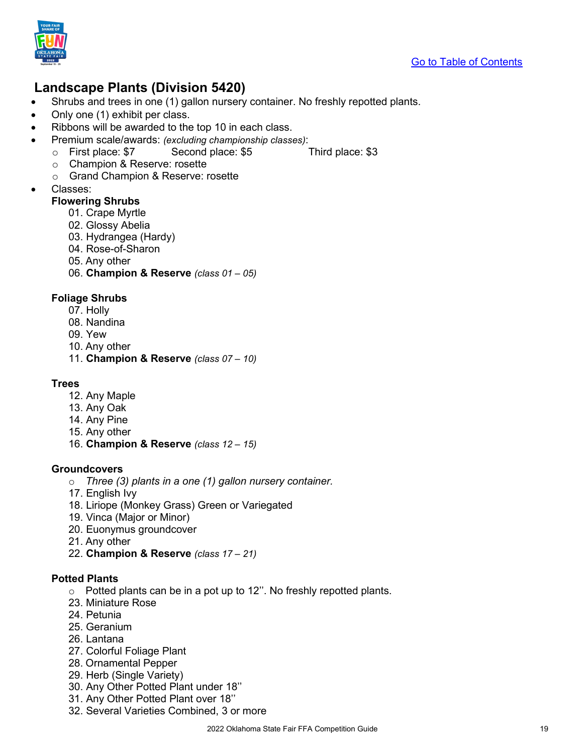

## <span id="page-18-0"></span>**Landscape Plants (Division 5420)**

- Shrubs and trees in one (1) gallon nursery container. No freshly repotted plants.
- Only one (1) exhibit per class.
- Ribbons will be awarded to the top 10 in each class.
- Premium scale/awards: *(excluding championship classes)*:
	- o First place: \$7 Second place: \$5 Third place: \$3
		- o Champion & Reserve: rosette
		- o Grand Champion & Reserve: rosette
- <span id="page-18-1"></span>• Classes:

#### **Flowering Shrubs**

- 01. Crape Myrtle
- 02. Glossy Abelia
- 03. Hydrangea (Hardy)
- 04. Rose-of-Sharon
- 05. Any other
- 06. **Champion & Reserve** *(class 01 – 05)*

#### <span id="page-18-2"></span>**Foliage Shrubs**

- 07. Holly
- 08. Nandina
- 09. Yew
- 10. Any other
- 11. **Champion & Reserve** *(class 07 – 10)*

#### <span id="page-18-3"></span>**Trees**

- 12. Any Maple
- 13. Any Oak
- 14. Any Pine
- 15. Any other
- 16. **Champion & Reserve** *(class 12 – 15)*

#### <span id="page-18-4"></span>**Groundcovers**

- o *Three (3) plants in a one (1) gallon nursery container.*
- 17. English Ivy
- 18. Liriope (Monkey Grass) Green or Variegated
- 19. Vinca (Major or Minor)
- 20. Euonymus groundcover
- 21. Any other
- 22. **Champion & Reserve** *(class 17 – 21)*

#### <span id="page-18-5"></span>**Potted Plants**

- o Potted plants can be in a pot up to 12''. No freshly repotted plants.
- 23. Miniature Rose
- 24. Petunia
- 25. Geranium
- 26. Lantana
- 27. Colorful Foliage Plant
- 28. Ornamental Pepper
- 29. Herb (Single Variety)
- 30. Any Other Potted Plant under 18''
- 31. Any Other Potted Plant over 18''
- 32. Several Varieties Combined, 3 or more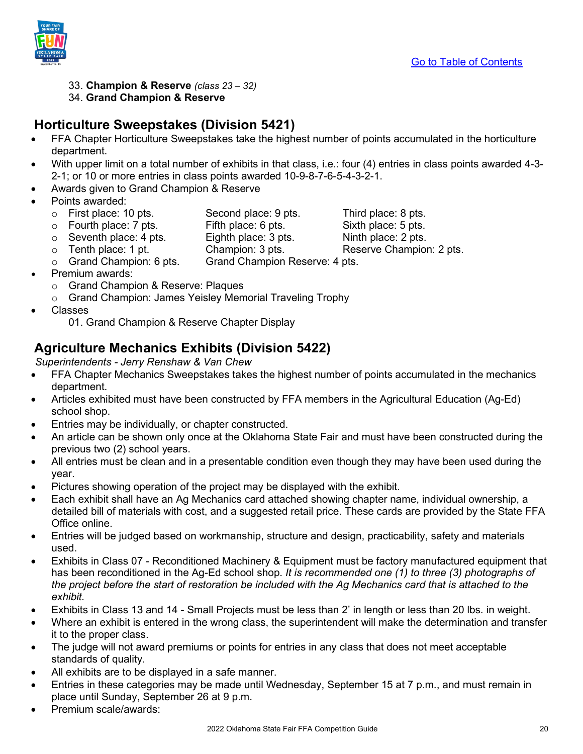

- 33. **Champion & Reserve** *(class 23 – 32)*
- 34. **Grand Champion & Reserve**

## <span id="page-19-0"></span>**Horticulture Sweepstakes (Division 5421)**

- FFA Chapter Horticulture Sweepstakes take the highest number of points accumulated in the horticulture department.
- With upper limit on a total number of exhibits in that class, i.e.: four (4) entries in class points awarded 4-3-2-1; or 10 or more entries in class points awarded 10-9-8-7-6-5-4-3-2-1.
- Awards given to Grand Champion & Reserve
- Points awarded:
	- o First place: 10 pts. Second place: 9 pts. Third place: 8 pts.<br>○ Fourth place: 7 pts. Fifth place: 6 pts. Sixth place: 5 pts.
	- o Fourth place: 7 pts. Fifth place: 6 pts. Sixth place: 5 pts.<br>○ Seventh place: 4 pts. Eighth place: 3 pts. Ninth place: 2 pts.
	-
	- $\circ$  Seventh place: 4 pts. Eighth place: 3 pts.<br> $\circ$  Tenth place: 1 pt. Champion: 3 pts.
	- o Tenth place: 1 pt. Champion: 3 pts. Reserve Champion: 2 pts.<br>○ Grand Champion: 6 pts. Grand Champion Reserve: 4 pts. Grand Champion Reserve: 4 pts.
- Premium awards:
	- o Grand Champion & Reserve: Plaques
	- o Grand Champion: James Yeisley Memorial Traveling Trophy
- Classes
	- 01. Grand Champion & Reserve Chapter Display

# <span id="page-19-1"></span>**Agriculture Mechanics Exhibits (Division 5422)**

*Superintendents - Jerry Renshaw & Van Chew*

- FFA Chapter Mechanics Sweepstakes takes the highest number of points accumulated in the mechanics department.
- Articles exhibited must have been constructed by FFA members in the Agricultural Education (Ag-Ed) school shop.
- Entries may be individually, or chapter constructed.
- An article can be shown only once at the Oklahoma State Fair and must have been constructed during the previous two (2) school years.
- All entries must be clean and in a presentable condition even though they may have been used during the year.
- Pictures showing operation of the project may be displayed with the exhibit.
- Each exhibit shall have an Ag Mechanics card attached showing chapter name, individual ownership, a detailed bill of materials with cost, and a suggested retail price. These cards are provided by the State FFA Office online.
- Entries will be judged based on workmanship, structure and design, practicability, safety and materials used.
- Exhibits in Class 07 Reconditioned Machinery & Equipment must be factory manufactured equipment that has been reconditioned in the Ag-Ed school shop. *It is recommended one (1) to three (3) photographs of the project before the start of restoration be included with the Ag Mechanics card that is attached to the exhibit.*
- Exhibits in Class 13 and 14 Small Projects must be less than 2' in length or less than 20 lbs. in weight.
- Where an exhibit is entered in the wrong class, the superintendent will make the determination and transfer it to the proper class.
- The judge will not award premiums or points for entries in any class that does not meet acceptable standards of quality.
- All exhibits are to be displayed in a safe manner.
- Entries in these categories may be made until Wednesday, September 15 at 7 p.m., and must remain in place until Sunday, September 26 at 9 p.m.
- Premium scale/awards: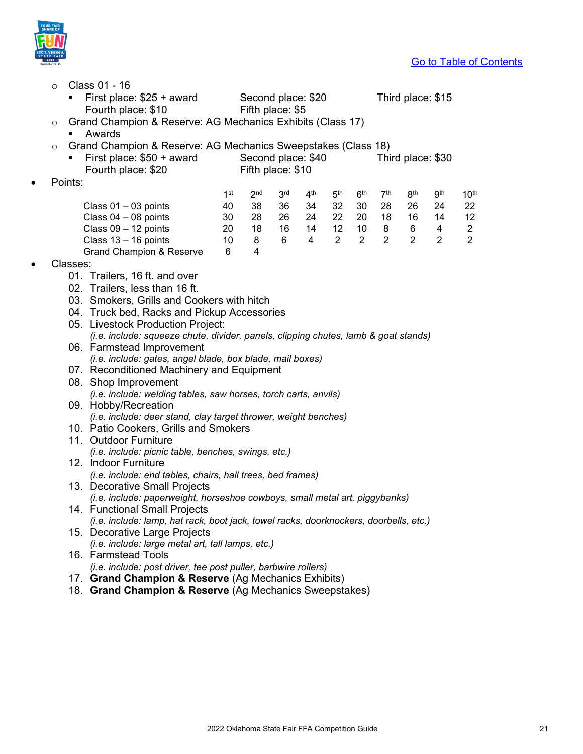

|           | $\circ$                                                                                        |          | Class 01 - 16                                                                         |                 |                    |                 |                 |                       |                 |                     |                     |                     |                                  |
|-----------|------------------------------------------------------------------------------------------------|----------|---------------------------------------------------------------------------------------|-----------------|--------------------|-----------------|-----------------|-----------------------|-----------------|---------------------|---------------------|---------------------|----------------------------------|
|           | First place: \$25 + award<br>Second place: \$20<br>п<br>Fourth place: \$10<br>Fifth place: \$5 |          |                                                                                       |                 |                    |                 |                 | Third place: \$15     |                 |                     |                     |                     |                                  |
|           | O                                                                                              |          | Grand Champion & Reserve: AG Mechanics Exhibits (Class 17)                            |                 |                    |                 |                 |                       |                 |                     |                     |                     |                                  |
|           |                                                                                                | ٠        | Awards                                                                                |                 |                    |                 |                 |                       |                 |                     |                     |                     |                                  |
|           | O                                                                                              |          | Grand Champion & Reserve: AG Mechanics Sweepstakes (Class 18)                         |                 |                    |                 |                 |                       |                 |                     |                     |                     |                                  |
|           |                                                                                                |          | First place: \$50 + award                                                             |                 | Second place: \$40 |                 |                 |                       |                 |                     |                     | Third place: \$30   |                                  |
|           |                                                                                                |          | Fourth place: \$20                                                                    |                 | Fifth place: \$10  |                 |                 |                       |                 |                     |                     |                     |                                  |
|           |                                                                                                | Points:  |                                                                                       |                 |                    |                 |                 |                       |                 |                     |                     |                     |                                  |
|           |                                                                                                |          |                                                                                       | 1 <sup>st</sup> | 2 <sub>nd</sub>    | 3 <sup>rd</sup> | 4 <sup>th</sup> | 5 <sup>th</sup>       | 6 <sup>th</sup> | 7 <sup>th</sup>     | 8 <sup>th</sup>     | 9 <sup>th</sup>     | 10 <sup>th</sup>                 |
|           |                                                                                                |          | Class $01 - 03$ points                                                                | 40              | 38                 | 36              | 34              | 32                    | 30              | 28                  | 26                  | 24                  | 22                               |
|           |                                                                                                |          | Class 04 - 08 points                                                                  | 30<br>20        | 28<br>18           | 26<br>16        | 24<br>14        | 22<br>12 <sup>7</sup> | 20<br>10        | 18                  | 16                  | 14                  | 12                               |
|           |                                                                                                |          | Class $09 - 12$ points<br>Class $13 - 16$ points                                      | 10              | 8                  | 6               | $\overline{4}$  | $2^{\circ}$           | $\overline{2}$  | 8<br>$\overline{2}$ | 6<br>$\overline{2}$ | 4<br>$\overline{2}$ | $\overline{2}$<br>$\overline{2}$ |
|           |                                                                                                |          | <b>Grand Champion &amp; Reserve</b>                                                   | 6               | 4                  |                 |                 |                       |                 |                     |                     |                     |                                  |
| $\bullet$ |                                                                                                | Classes: |                                                                                       |                 |                    |                 |                 |                       |                 |                     |                     |                     |                                  |
|           |                                                                                                |          | 01. Trailers, 16 ft. and over                                                         |                 |                    |                 |                 |                       |                 |                     |                     |                     |                                  |
|           |                                                                                                |          | 02. Trailers, less than 16 ft.                                                        |                 |                    |                 |                 |                       |                 |                     |                     |                     |                                  |
|           |                                                                                                |          | 03. Smokers, Grills and Cookers with hitch                                            |                 |                    |                 |                 |                       |                 |                     |                     |                     |                                  |
|           |                                                                                                |          | 04. Truck bed, Racks and Pickup Accessories                                           |                 |                    |                 |                 |                       |                 |                     |                     |                     |                                  |
|           |                                                                                                |          | 05. Livestock Production Project:                                                     |                 |                    |                 |                 |                       |                 |                     |                     |                     |                                  |
|           |                                                                                                |          | (i.e. include: squeeze chute, divider, panels, clipping chutes, lamb & goat stands)   |                 |                    |                 |                 |                       |                 |                     |                     |                     |                                  |
|           |                                                                                                |          | 06. Farmstead Improvement                                                             |                 |                    |                 |                 |                       |                 |                     |                     |                     |                                  |
|           |                                                                                                |          | (i.e. include: gates, angel blade, box blade, mail boxes)                             |                 |                    |                 |                 |                       |                 |                     |                     |                     |                                  |
|           |                                                                                                |          | 07. Reconditioned Machinery and Equipment                                             |                 |                    |                 |                 |                       |                 |                     |                     |                     |                                  |
|           |                                                                                                |          | 08. Shop Improvement                                                                  |                 |                    |                 |                 |                       |                 |                     |                     |                     |                                  |
|           |                                                                                                |          | (i.e. include: welding tables, saw horses, torch carts, anvils)                       |                 |                    |                 |                 |                       |                 |                     |                     |                     |                                  |
|           |                                                                                                |          | 09. Hobby/Recreation                                                                  |                 |                    |                 |                 |                       |                 |                     |                     |                     |                                  |
|           |                                                                                                |          | (i.e. include: deer stand, clay target thrower, weight benches)                       |                 |                    |                 |                 |                       |                 |                     |                     |                     |                                  |
|           |                                                                                                |          | 10. Patio Cookers, Grills and Smokers                                                 |                 |                    |                 |                 |                       |                 |                     |                     |                     |                                  |
|           |                                                                                                |          | 11. Outdoor Furniture                                                                 |                 |                    |                 |                 |                       |                 |                     |                     |                     |                                  |
|           |                                                                                                |          | (i.e. include: picnic table, benches, swings, etc.)                                   |                 |                    |                 |                 |                       |                 |                     |                     |                     |                                  |
|           |                                                                                                |          | 12. Indoor Furniture                                                                  |                 |                    |                 |                 |                       |                 |                     |                     |                     |                                  |
|           |                                                                                                |          | (i.e. include: end tables, chairs, hall trees, bed frames)                            |                 |                    |                 |                 |                       |                 |                     |                     |                     |                                  |
|           |                                                                                                |          | 13. Decorative Small Projects                                                         |                 |                    |                 |                 |                       |                 |                     |                     |                     |                                  |
|           |                                                                                                |          | (i.e. include: paperweight, horseshoe cowboys, small metal art, piggybanks)           |                 |                    |                 |                 |                       |                 |                     |                     |                     |                                  |
|           |                                                                                                |          | 14. Functional Small Projects                                                         |                 |                    |                 |                 |                       |                 |                     |                     |                     |                                  |
|           |                                                                                                |          | (i.e. include: lamp, hat rack, boot jack, towel racks, doorknockers, doorbells, etc.) |                 |                    |                 |                 |                       |                 |                     |                     |                     |                                  |
|           |                                                                                                |          | 15. Decorative Large Projects                                                         |                 |                    |                 |                 |                       |                 |                     |                     |                     |                                  |
|           |                                                                                                |          | (i.e. include: large metal art, tall lamps, etc.)                                     |                 |                    |                 |                 |                       |                 |                     |                     |                     |                                  |
|           |                                                                                                |          | 16. Farmstead Tools                                                                   |                 |                    |                 |                 |                       |                 |                     |                     |                     |                                  |
|           |                                                                                                |          | (i.e. include: post driver, tee post puller, barbwire rollers)                        |                 |                    |                 |                 |                       |                 |                     |                     |                     |                                  |

- 17. **Grand Champion & Reserve** (Ag Mechanics Exhibits)
- 18. **Grand Champion & Reserve** (Ag Mechanics Sweepstakes)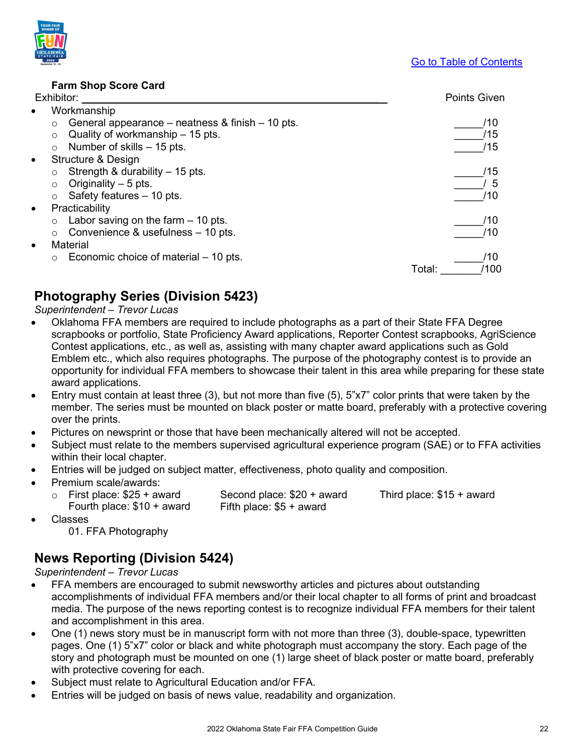#### **Farm Shop Score Card**

#### <span id="page-21-0"></span>Exhibitor: \_\_\_\_\_\_\_\_\_\_\_\_\_\_\_\_\_\_\_\_\_\_\_\_\_\_\_\_\_\_\_\_\_\_\_\_\_\_\_\_\_\_\_\_\_\_\_\_\_\_\_ Points Given

| Workmanship<br>$\bullet$                                       |                |
|----------------------------------------------------------------|----------------|
| General appearance – neatness $\&$ finish – 10 pts.<br>$\circ$ | /10            |
| Quality of workmanship $-15$ pts.<br>$\circ$                   | /15            |
| Number of skills - 15 pts.<br>$\circ$                          | /15            |
| Structure & Design<br>$\bullet$                                |                |
| Strength & durability $-15$ pts.<br>$\circ$                    | /15            |
| Originality $-5$ pts.<br>O                                     | 5              |
| Safety features - 10 pts.<br>$\circ$                           | /10            |
| Practicability<br>$\bullet$                                    |                |
| Labor saving on the farm $-10$ pts.<br>$\circ$                 | /10            |
| Convenience & usefulness – 10 pts.<br>$\circ$                  | /10            |
| Material<br>$\bullet$                                          |                |
| Economic choice of material – 10 pts.<br>$\circ$               | /10            |
|                                                                | /100<br>Total: |

## <span id="page-21-1"></span>**Photography Series (Division 5423)**

*Superintendent – Trevor Lucas*

- Oklahoma FFA members are required to include photographs as a part of their State FFA Degree scrapbooks or portfolio, State Proficiency Award applications, Reporter Contest scrapbooks, AgriScience Contest applications, etc., as well as, assisting with many chapter award applications such as Gold Emblem etc., which also requires photographs. The purpose of the photography contest is to provide an opportunity for individual FFA members to showcase their talent in this area while preparing for these state award applications.
- Entry must contain at least three (3), but not more than five (5), 5"x7" color prints that were taken by the member. The series must be mounted on black poster or matte board, preferably with a protective covering over the prints.
- Pictures on newsprint or those that have been mechanically altered will not be accepted.
- Subject must relate to the members supervised agricultural experience program (SAE) or to FFA activities within their local chapter.
- Entries will be judged on subject matter, effectiveness, photo quality and composition.
- Premium scale/awards:
	- $\circ$  First place: \$25 + award Second place: \$20 + award Third place: \$15 + award Figure: \$10 + award Fifth place: \$5 + award Fourth place:  $$10 +$  award

- Classes
	- 01. FFA Photography

### <span id="page-21-2"></span>**News Reporting (Division 5424)**

*Superintendent – Trevor Lucas*

- FFA members are encouraged to submit newsworthy articles and pictures about outstanding accomplishments of individual FFA members and/or their local chapter to all forms of print and broadcast media. The purpose of the news reporting contest is to recognize individual FFA members for their talent and accomplishment in this area.
- One (1) news story must be in manuscript form with not more than three (3), double-space, typewritten pages. One (1) 5"x7" color or black and white photograph must accompany the story. Each page of the story and photograph must be mounted on one (1) large sheet of black poster or matte board, preferably with protective covering for each.
- Subject must relate to Agricultural Education and/or FFA.
- Entries will be judged on basis of news value, readability and organization.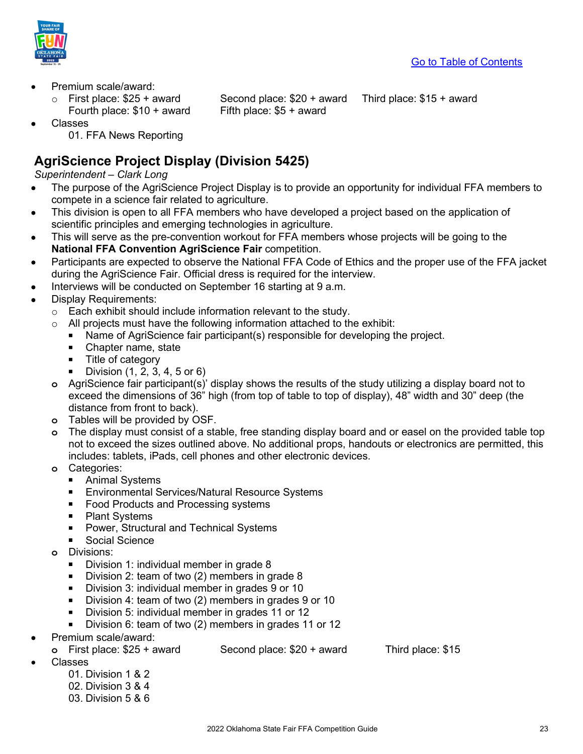

- Premium scale/award:
	- $\circ$  First place: \$25 + award Second place: \$20 + award Third place: \$15 + award Fourth place: \$10 + award Fifth place: \$5 + award Fourth place:  $$10 +$  award

- Classes
	- 01. FFA News Reporting

# <span id="page-22-0"></span>**AgriScience Project Display (Division 5425)**

### *Superintendent – Clark Long*

- The purpose of the AgriScience Project Display is to provide an opportunity for individual FFA members to compete in a science fair related to agriculture.
- This division is open to all FFA members who have developed a project based on the application of scientific principles and emerging technologies in agriculture.
- This will serve as the pre-convention workout for FFA members whose projects will be going to the **National FFA Convention AgriScience Fair** competition.
- Participants are expected to observe the National FFA Code of Ethics and the proper use of the FFA jacket during the AgriScience Fair. Official dress is required for the interview.
- Interviews will be conducted on September 16 starting at 9 a.m.
- Display Requirements:
	- $\circ$  Each exhibit should include information relevant to the study.
	- $\circ$  All projects must have the following information attached to the exhibit:
		- Name of AgriScience fair participant(s) responsible for developing the project.
		- Chapter name, state
		- $\blacksquare$  Title of category
		- Division  $(1, 2, 3, 4, 5 \text{ or } 6)$
	- **o** AgriScience fair participant(s)' display shows the results of the study utilizing a display board not to exceed the dimensions of 36" high (from top of table to top of display), 48" width and 30" deep (the distance from front to back).
	- **o** Tables will be provided by OSF.
	- **o** The display must consist of a stable, free standing display board and or easel on the provided table top not to exceed the sizes outlined above. No additional props, handouts or electronics are permitted, this includes: tablets, iPads, cell phones and other electronic devices.
	- **o** Categories:
		- **Animal Systems**
		- **Environmental Services/Natural Resource Systems**
		- Food Products and Processing systems
		- Plant Systems
		- **Power, Structural and Technical Systems**
		- **Social Science**
	- **o** Divisions:
		- **Division 1: individual member in grade 8**
		- Division 2: team of two (2) members in grade 8
		- Division 3: individual member in grades 9 or 10
		- Division 4: team of two (2) members in grades 9 or 10
		- Division 5: individual member in grades 11 or 12
		- Division 6: team of two (2) members in grades 11 or 12
- Premium scale/award:
	- **o** First place: \$25 + award Second place: \$20 + award Third place: \$15
		-

- Classes
	- 01 Division 1 & 2 02. Division 3 & 4 03. Division 5 & 6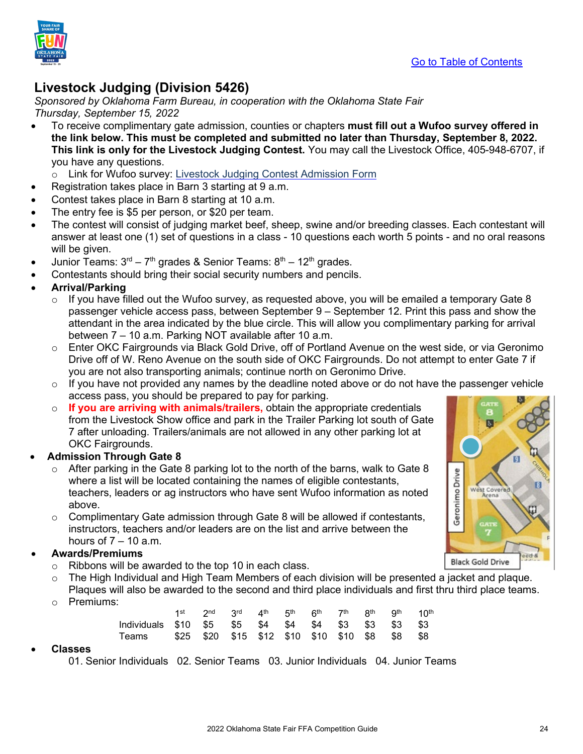

# <span id="page-23-0"></span>**Livestock Judging (Division 5426)**

*Sponsored by Oklahoma Farm Bureau, in cooperation with the Oklahoma State Fair Thursday, September 15, 2022*

- To receive complimentary gate admission, counties or chapters **must fill out a Wufoo survey offered in the link below. This must be completed and submitted no later than Thursday, September 8, 2022. This link is only for the Livestock Judging Contest.** You may call the Livestock Office, 405-948-6707, if you have any questions.
	- o Link for Wufoo survey: [Livestock Judging Contest Admission Form](https://okstatefair.wufoo.com/forms/zo5o6o904sapfv/)
- Registration takes place in Barn 3 starting at 9 a.m.
- Contest takes place in Barn 8 starting at 10 a.m.
- The entry fee is \$5 per person, or \$20 per team.
- The contest will consist of judging market beef, sheep, swine and/or breeding classes. Each contestant will answer at least one (1) set of questions in a class - 10 questions each worth 5 points - and no oral reasons will be given.
- Junior Teams:  $3<sup>rd</sup> 7<sup>th</sup>$  grades & Senior Teams:  $8<sup>th</sup> 12<sup>th</sup>$  grades.
- Contestants should bring their social security numbers and pencils.
- **Arrival/Parking**
	- $\circ$  If you have filled out the Wufoo survey, as requested above, you will be emailed a temporary Gate 8 passenger vehicle access pass, between September 9 – September 12. Print this pass and show the attendant in the area indicated by the blue circle. This will allow you complimentary parking for arrival between 7 – 10 a.m. Parking NOT available after 10 a.m.
	- $\circ$  Enter OKC Fairgrounds via Black Gold Drive, off of Portland Avenue on the west side, or via Geronimo Drive off of W. Reno Avenue on the south side of OKC Fairgrounds. Do not attempt to enter Gate 7 if you are not also transporting animals; continue north on Geronimo Drive.
	- $\circ$  If you have not provided any names by the deadline noted above or do not have the passenger vehicle access pass, you should be prepared to pay for parking.
	- o **If you are arriving with animals/trailers,** obtain the appropriate credentials from the Livestock Show office and park in the Trailer Parking lot south of Gate 7 after unloading. Trailers/animals are not allowed in any other parking lot at OKC Fairgrounds.

### • **Admission Through Gate 8**

- After parking in the Gate 8 parking lot to the north of the barns, walk to Gate 8 where a list will be located containing the names of eligible contestants, teachers, leaders or ag instructors who have sent Wufoo information as noted above.
- $\circ$  Complimentary Gate admission through Gate 8 will be allowed if contestants, instructors, teachers and/or leaders are on the list and arrive between the hours of  $7 - 10$  a.m.

#### • **Awards/Premiums**

- o Ribbons will be awarded to the top 10 in each class.
- $\circ$  The High Individual and High Team Members of each division will be presented a jacket and plaque. Plaques will also be awarded to the second and third place individuals and first thru third place teams.
- o Premiums:

|                                                      | 1st 2nd 3rd 4th 5th 6th 7th 8th 9th 10th |  |  |  |  |
|------------------------------------------------------|------------------------------------------|--|--|--|--|
| Individuals \$10 \$5 \$5 \$4 \$4 \$4 \$3 \$3 \$3 \$3 |                                          |  |  |  |  |
| Teams \$25 \$20 \$15 \$12 \$10 \$10 \$10 \$8 \$8 \$8 |                                          |  |  |  |  |

#### • **Classes**

01. Senior Individuals 02. Senior Teams 03. Junior Individuals 04. Junior Teams